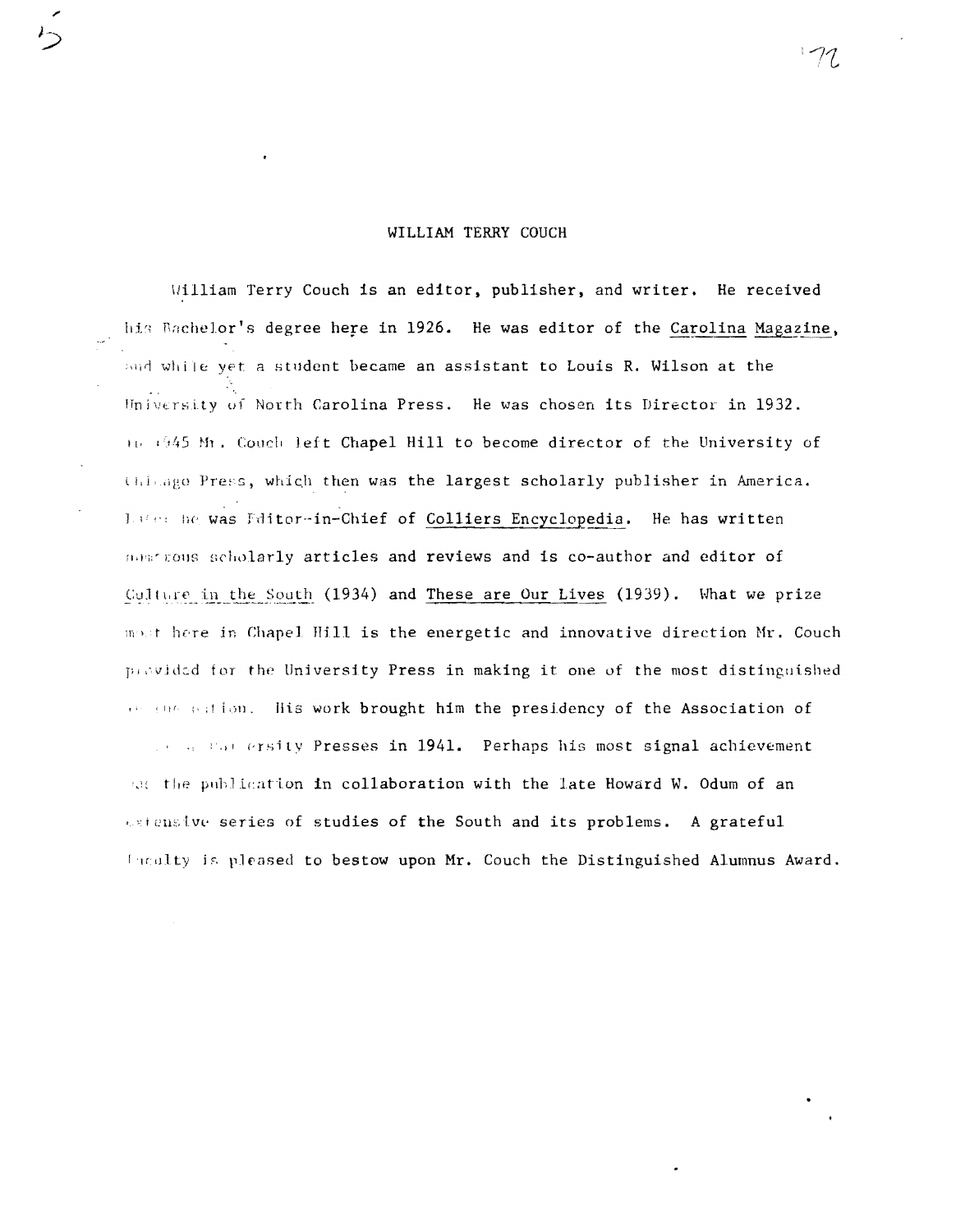# WILLIAM TERRY COUCH

William Terry Couch is an editor, publisher, and writer. He received his Bachelor's degree here in 1926. He was editor of the Carolina Magazine, and while yet a student became an assistant to Louis R. Wilson at the University of North Carolina Press. He was chosen its Director in 1932. 11. 1945 Mr. Couch left Chapel Hill to become director of the University of Chimago Press, which then was the largest scholarly publisher in America. Late: he was Fditor-in-Chief of Colliers Encyclopedia. He has written meaninous scholarly articles and reviews and is co-author and editor of Culture in the South (1934) and These are Our Lives (1939). What we prize mout here in Chapel Hill is the energetic and innovative direction Mr. Couch previded for the University Press in making it one of the most distinguished or the nation. His work brought him the presidency of the Association of and a star ersity Presses in 1941. Perhaps his most signal achievement sat the publication in collaboration with the late Howard W. Odum of an extensive series of studies of the South and its problems. A grateful faculty is pleased to bestow upon Mr. Couch the Distinguished Alumnus Award.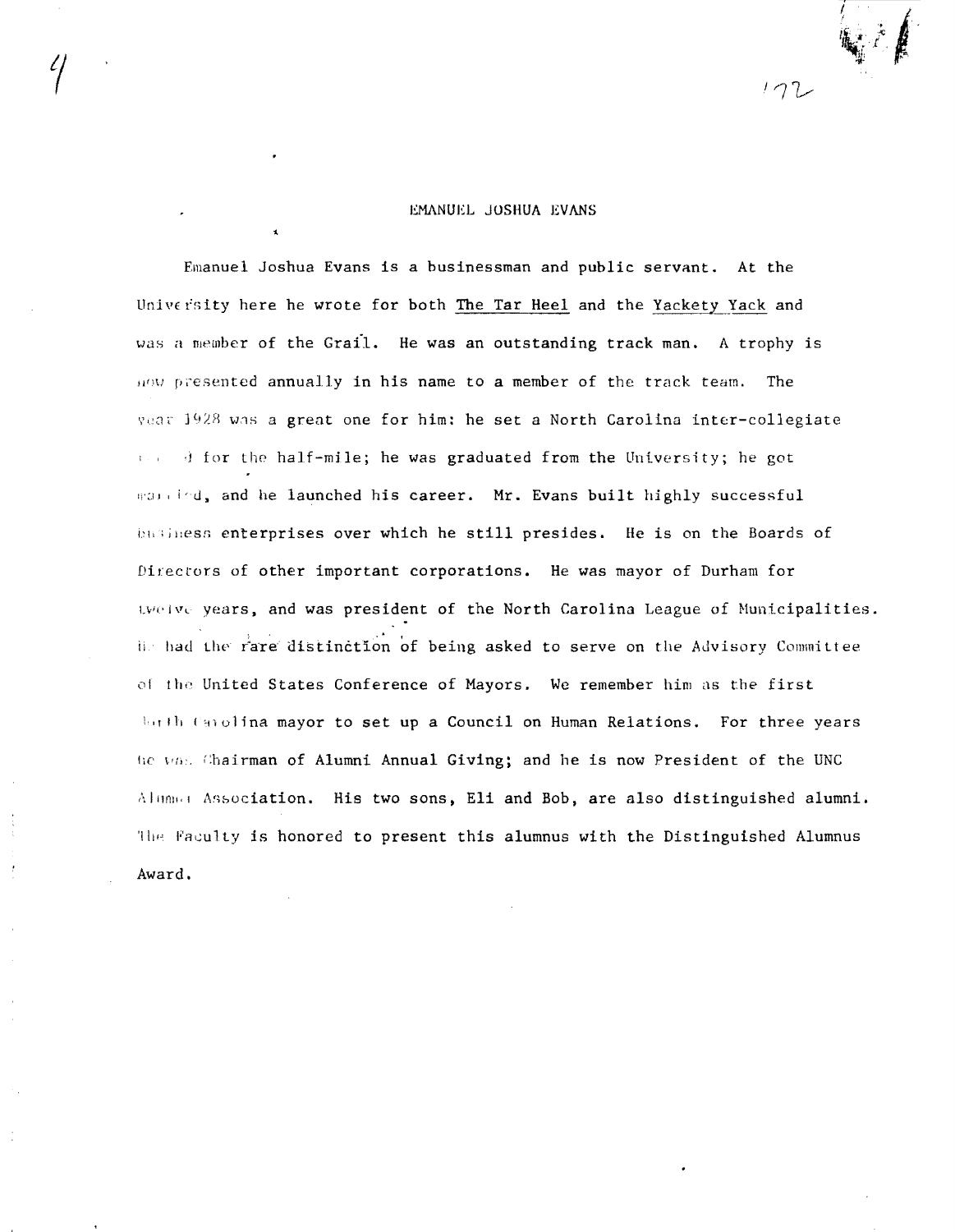# EMANUEL JUSHUA EVANS

Emanuel Joshua Evans is a businessman and public servant. At the University here he wrote for both The Tar Heel and the Yackety Yack and was a member of the Grail. He was an outstanding track man. A trophy is  $\mu$ ow presented annually in his name to a member of the track team. The year 1928 was a great one for him: he set a North Carolina inter-collegiate " .J for *the* half-mile; he was graduated from the University; he got man ind, and he launched his career. Mr. Evans built highly successful business enterprises over which he still presides. He is on the Boards of Directors of other important corporations. He was mayor of Durham for LVOIVE years, and was president of the North Carolina League of Municipalities. iis had the rare distinction of being asked to serve on the Advisory Committee of the United States Conference of Mayors. We remember him as the first lorth Canolina mayor to set up a Council on Human Relations. For three years he vas Chairman of Alumni Annual Giving; and he is now President of the UNC Alumna Association. His two sons, Eli and Bob, are also distinguished alumni. The Faculty is honored to present this alumnus with the Distinguished Alumnus Award.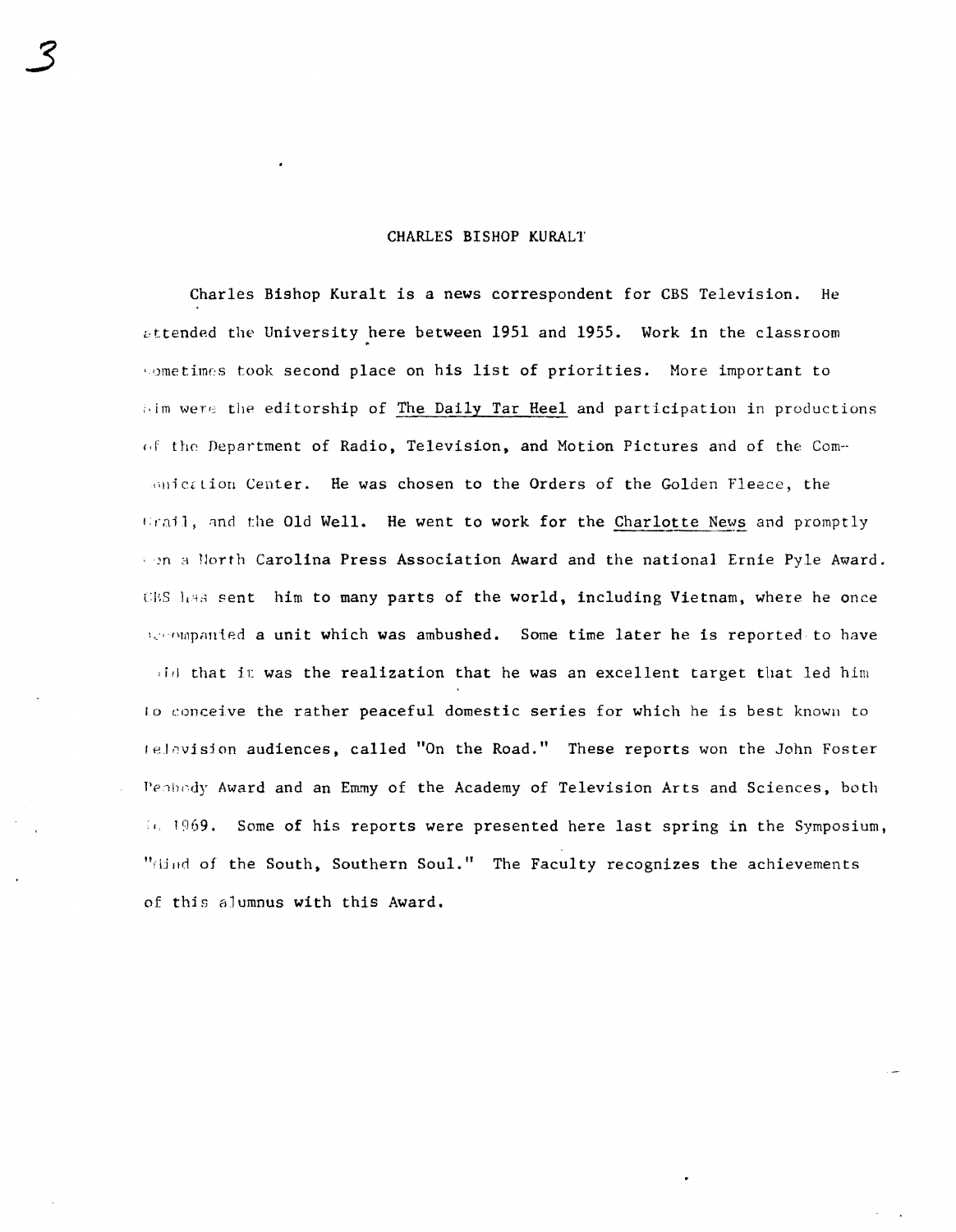### CHARLES BISHOP KURALT

3

Charles Bishop Kuralt is a news correspondent for CBS Television. He attended the University here between 1951 and 1955. Work in the classroom wometimes took second place on his list of priorities. More important to bim were the editorship of The Daily Tar Heel and participation in productions (if the Department of Radio, Television, and Motion Pictures and of the Com-Indication Center. He was chosen to the Orders of the Golden Fleece, the  $train$ , and the Old Well. He went to work for the Charlotte News and promptly *m* a lJorth Carolina Press Association Award and the national Ernie Pyle Award. CES has sent him to many parts of the world, including Vietnam, where he once  $l$ .  $i$  map anted a unit which was ambushed. Some time later he is reported to have  $\mathcal{H}$  id that it was the realization that he was an excellent target that led him 10 conceive the rather peaceful domestic series for which he is best known to television audiences, called "On the Road." These reports won the John Foster Peabody Award and an Emmy of the Academy of Television Arts and Sciences, both <sup>I</sup>1969. Some of his reports were presented here last spring in the Symposium, "Hind of the South, Southern Soul." The Faculty recognizes the achievements of thjs alumnus with this Award.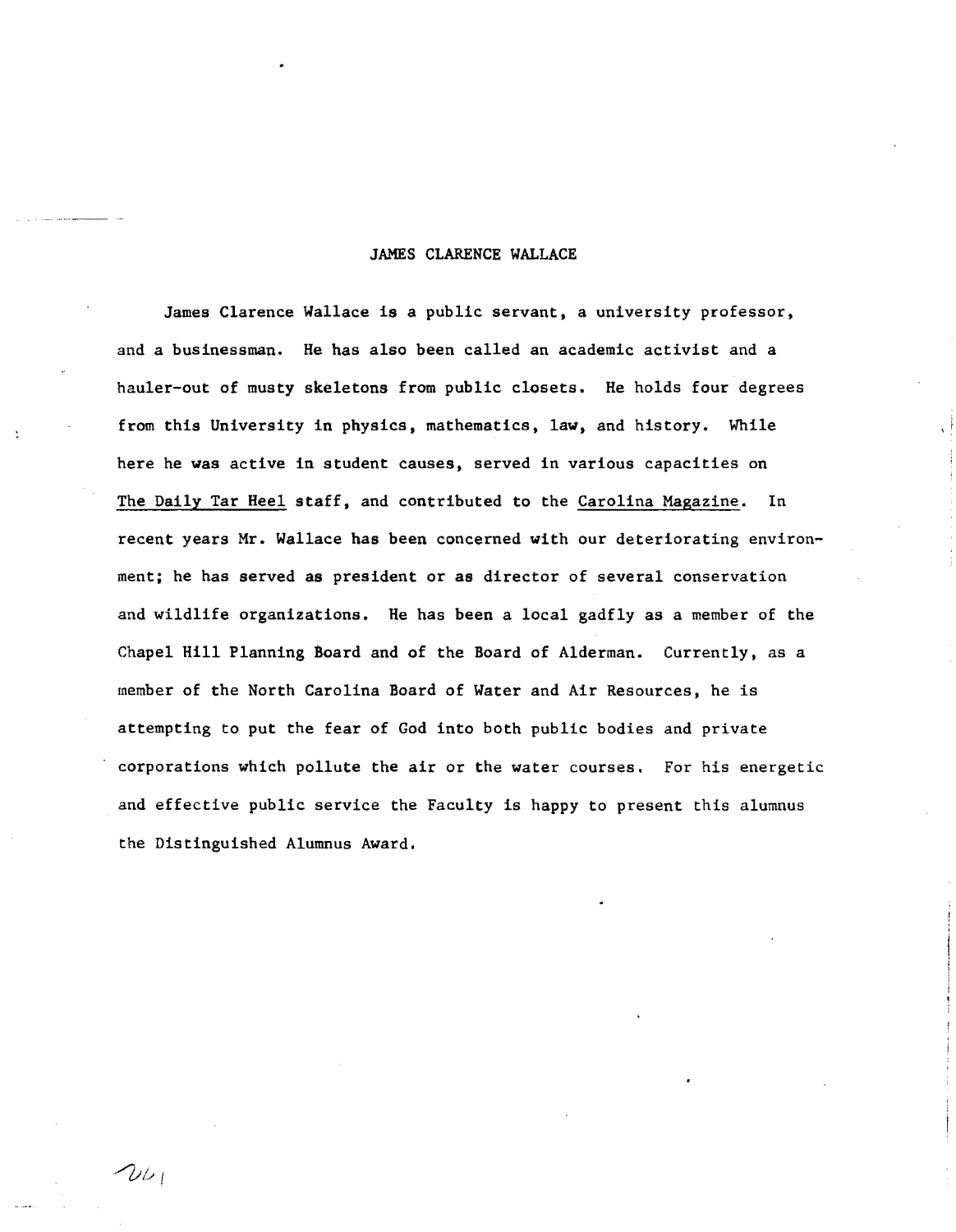#### JAMES CLARENCE WALLACE

James Clarence Wallace is a public servant, a university professor, and a businessman. He has also been called an academic activist and a hauler-out of musty skeletons from public closets. He holds four degrees from this University in physics, mathematics, law, and history. While here he was active in student causes, served in various capacities on The Daily Tar Heel staff, and contributed to the Carolina Magazine. In recent years Mr. Wallace has been concerned with our deteriorating environment; he has served as president or as director of several conservation and wildlife organizations. He has been a local gadfly as a member of the Chapel Hill Planning Board and of the Board of Alderman. Currently, as a member of the North Carolina Board of Water and Air Resources, he is attempting to put the fear of God into both public bodies and private corporations which pollute the air or the water courses. For his energetic and effective public service the Faculty is happy to present this alumnus the Distinguished Alumnus Award.

 $2\nu_1$